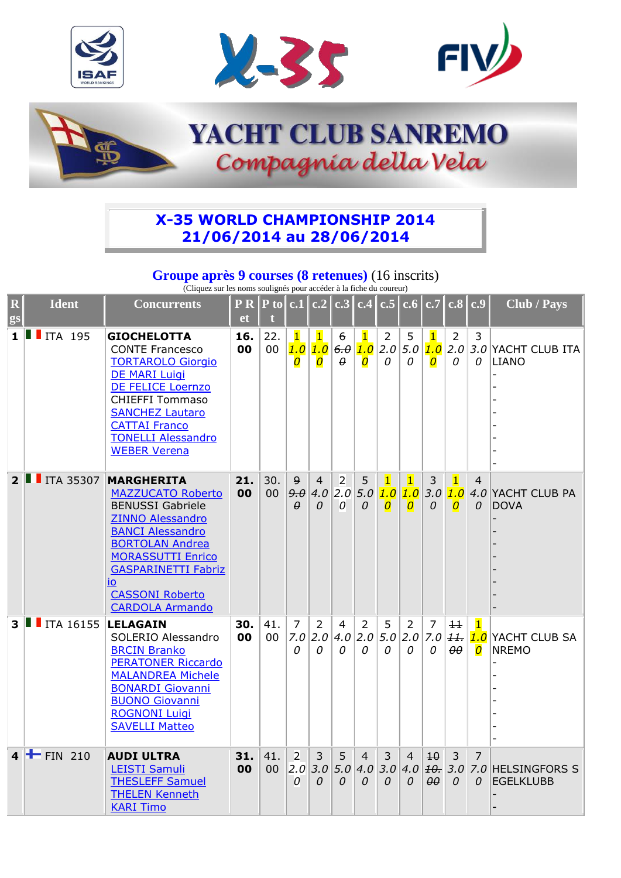







## **X-35 WORLD CHAMPIONSHIP 2014 21/06/2014 au 28/06/2014**

## **Groupe après 9 courses (8 retenues)** (16 inscrits)

(Cliquez sur les noms soulignés pour accéder à la fiche du coureur)

| $ \mathbf{R} $<br>gs | <b>Ident</b>               | <b>Concurrents</b>                                                                                                                                                                                                                                                           | P R<br><b>et</b> | $ P\text{ to} c.1 c.2 $ |                                      |                                                  |                                  |                                                    | c.3 c.4 c.5 c.6 c.7 c.8 c.9       |                                        |                                            |                                |                                       | Club / Pays                      |
|----------------------|----------------------------|------------------------------------------------------------------------------------------------------------------------------------------------------------------------------------------------------------------------------------------------------------------------------|------------------|-------------------------|--------------------------------------|--------------------------------------------------|----------------------------------|----------------------------------------------------|-----------------------------------|----------------------------------------|--------------------------------------------|--------------------------------|---------------------------------------|----------------------------------|
|                      | $1$ $\blacksquare$ ITA 195 | <b>GIOCHELOTTA</b><br><b>CONTE Francesco</b><br><b>TORTAROLO Giorgio</b><br><b>DE MARI Luigi</b><br>DE FELICE Loernzo<br><b>CHIEFFI Tommaso</b><br><b>SANCHEZ Lautaro</b><br><b>CATTAI Franco</b><br><b>TONELLI Alessandro</b><br><b>WEBER Verena</b>                        | 16.<br>00        | 22.<br>00               | $\mathbf 1$<br>1.0<br>$\overline{o}$ | $\overline{\mathbf{1}}$<br>1.0<br>$\overline{o}$ | 6<br>6.0<br>θ                    | $\mathbf{1}$<br>1.0<br>$\overline{\boldsymbol{O}}$ | $\overline{2}$<br>2.0<br>$\Omega$ | 5<br>5.0<br>0                          | $\mathbf{1}$<br>1.0<br>$\overline{o}$      | $\overline{2}$<br>2.0<br>0     | 3<br>0                                | 3.0 YACHT CLUB ITA<br>LIANO      |
| $2^{\parallel}$      | $\blacksquare$ ITA 35307   | <b>MARGHERITA</b><br><b>MAZZUCATO Roberto</b><br><b>BENUSSI Gabriele</b><br><b>ZINNO Alessandro</b><br><b>BANCI Alessandro</b><br><b>BORTOLAN Andrea</b><br><b>MORASSUTTI Enrico</b><br><b>GASPARINETTI Fabriz</b><br>io<br><b>CASSONI Roberto</b><br><b>CARDOLA Armando</b> | 21.<br>00        | 30.<br>00               | $\overline{9}$<br>9.0<br>$\theta$    | $\overline{4}$<br>$\Omega$                       | $\overline{2}$<br>$4.0$ 2.0<br>0 | 5<br>5.0<br>$\Omega$                               | $\overline{1}$<br>1.0<br>0        | $\vert$ 1<br>1.0<br>$\overline{O}$     | 3<br>$3.0 $ 1.0<br>0                       | $\mathbf{1}$<br>$\overline{O}$ | 4<br>0                                | 4.0 YACHT CLUB PA<br><b>DOVA</b> |
| $3 \parallel$        | ITA 16155                  | <b>LELAGAIN</b><br>SOLERIO Alessandro<br><b>BRCIN Branko</b><br><b>PERATONER Riccardo</b><br><b>MALANDREA Michele</b><br><b>BONARDI Giovanni</b><br><b>BUONO Giovanni</b><br><b>ROGNONI Luigi</b><br><b>SAVELLI Matteo</b>                                                   | 30.<br>00        | 41.<br>00               | $\overline{7}$<br>7.0<br>0           | 2<br>2.0<br>$\Omega$                             | 4<br>4.0<br>$\Omega$             | $\overline{2}$<br>2.0<br>0                         | 5<br>5.0<br>0                     | $\overline{2}$<br>2.0<br>0             | $\overline{7}$<br>7.0<br>$\Omega$          | $\pm$<br> H<br>$\theta\theta$  | $\mathbf{1}$<br>1.0<br>$\overline{o}$ | YACHT CLUB SA<br><b>NREMO</b>    |
|                      | $4$ $\pm$ FIN 210          | <b>AUDI ULTRA</b><br><b>LEISTI Samuli</b><br><b>THESLEFF Samuel</b><br><b>THELEN Kenneth</b><br><b>KARI Timo</b>                                                                                                                                                             | 31.<br>00        | 41.<br>00               | $\overline{2}$<br> 2.0 <br>0         | 3<br>3.0<br>$\Omega$                             | 5<br>5.0<br>$\Omega$             | 4<br>0                                             | 3<br>$4.0$ 3.0<br>$\Omega$        | $\overline{4}$<br>4.0<br>$\mathcal{O}$ | $\overline{10}$<br>10.30<br>$\theta\theta$ | 3<br>$\overline{O}$            | 7<br>$\Omega$                         | 7.0 HELSINGFORS S<br>EGELKLUBB   |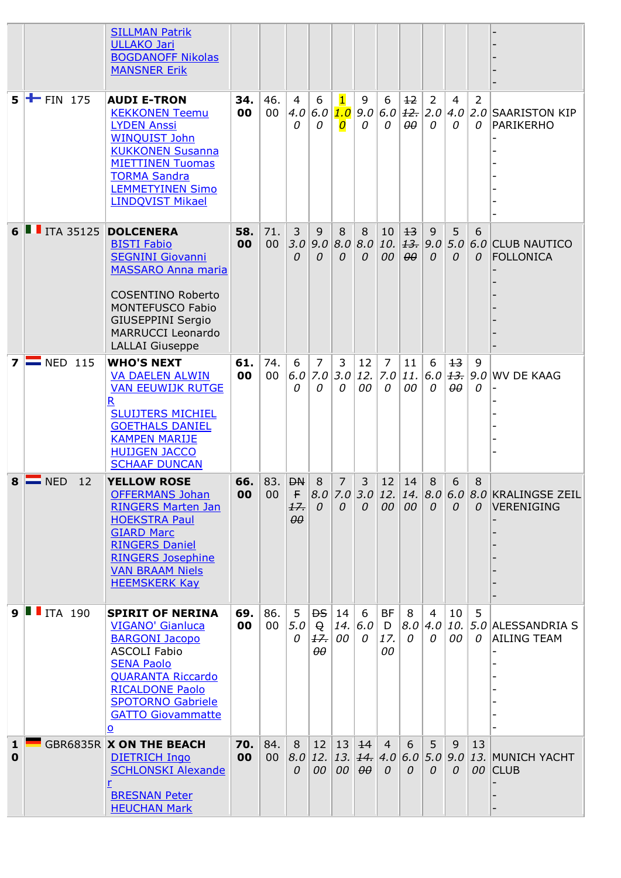|                             |                            | <b>SILLMAN Patrik</b><br><b>ULLAKO Jari</b><br><b>BOGDANOFF Nikolas</b><br><b>MANSNER Erik</b>                                                                                                                                             |           |               |                                          |                                                           |                                                    |                      |                                            |                        |                     |                        |                   |                                                                     |
|-----------------------------|----------------------------|--------------------------------------------------------------------------------------------------------------------------------------------------------------------------------------------------------------------------------------------|-----------|---------------|------------------------------------------|-----------------------------------------------------------|----------------------------------------------------|----------------------|--------------------------------------------|------------------------|---------------------|------------------------|-------------------|---------------------------------------------------------------------|
| 5.                          | $\mathbf{F}$ FIN 175       | <b>AUDI E-TRON</b><br><b>KEKKONEN Teemu</b><br><b>LYDEN Anssi</b><br><b>WINQUIST John</b><br><b>KUKKONEN Susanna</b><br><b>MIETTINEN Tuomas</b><br><b>TORMA Sandra</b><br><b>LEMMETYINEN Simo</b><br><b>LINDQVIST Mikael</b>               | 34.<br>00 | 46.<br>00     | 4<br>4.0<br>$\theta$                     | 6<br>6.0<br>0                                             | $\mathbf{1}$<br>1.0<br>$\overline{\boldsymbol{O}}$ | 9<br>0               | 6<br>$9.0 6.0 $ $\frac{12}{12}$   2.0<br>0 | $+2$<br>$\theta\theta$ | 2<br>0              | 4<br>0                 | 2<br>0            | $ 4.0 2.0 $ SAARISTON KIP<br><b>PARIKERHO</b>                       |
|                             | 6   ITA 35125 DOLCENERA    | <b>BISTI Fabio</b><br><b>SEGNINI Giovanni</b><br><b>MASSARO Anna maria</b><br><b>COSENTINO Roberto</b><br><b>MONTEFUSCO Fabio</b><br><b>GIUSEPPINI Sergio</b><br><b>MARRUCCI Leonardo</b><br><b>LALLAI</b> Giuseppe                        | 58.<br>00 | 71.<br>00     | 3<br>3.0<br>0                            | 9<br>9.0<br>0                                             | 8<br> 8.0 <br>0                                    | 8<br>0               | 10<br>$8.0$ 10. $\frac{13}{13}$ 9.0<br>00  | $+3$<br>$\theta\theta$ | 9<br>$\mathcal{O}$  | 5<br>0                 | 6<br>$\Omega$     | $5.0$ 6.0 CLUB NAUTICO<br><b>FOLLONICA</b>                          |
|                             | $7 \equiv$ NED 115         | <b>WHO'S NEXT</b><br><b>VA DAELEN ALWIN</b><br><b>VAN EEUWIJK RUTGE</b><br>R<br><b>SLUIJTERS MICHIEL</b><br><b>GOETHALS DANIEL</b><br><b>KAMPEN MARIJE</b><br><b>HUIJGEN JACCO</b><br><b>SCHAAF DUNCAN</b>                                 | 61.<br>00 | 74.<br>00     | 6<br>6.0<br>0                            | $\overline{7}$<br>7.0<br>0                                | 3<br>3.0<br>$\Omega$                               | 12<br>00             | $\overline{7}$<br>12.  7.0 11.<br>0        | 11<br>00               | 6<br>6.0<br>0       | $+3$<br>$\theta\theta$ | 9<br> 13.90 <br>0 | <b>WV DE KAAG</b>                                                   |
|                             | $8 \equiv$ NED<br>12       | <b>YELLOW ROSE</b><br><b>OFFERMANS Johan</b><br><b>RINGERS Marten Jan</b><br><b>HOEKSTRA Paul</b><br><b>GIARD Marc</b><br><b>RINGERS Daniel</b><br><b>RINGERS Josephine</b><br><b>VAN BRAAM Niels</b><br><b>HEEMSKERK Kay</b>              | 66.<br>00 | 00            | 83. $ DN $<br>F<br>17.<br>$\theta\theta$ | 8<br>$\mathcal O$                                         | 7<br>$\Omega$                                      | 3<br>$\Omega$        | 12 <sup>2</sup><br>00 00                   | 14                     | 8<br>$\Omega$       | 6<br>$\Omega$          | 8<br>$\Omega$     | $ 8.0 7.0 3.0 12. 14. 8.0 6.0 8.0 $ KRALINGSE ZEIL<br>VERENIGING    |
|                             | $9$ $\blacksquare$ ITA 190 | <b>SPIRIT OF NERINA</b><br><b>VIGANO' Gianluca</b><br><b>BARGONI Jacopo</b><br><b>ASCOLI Fabio</b><br><b>SENA Paolo</b><br><b>QUARANTA Riccardo</b><br><b>RICALDONE Paolo</b><br><b>SPOTORNO Gabriele</b><br><b>GATTO Giovammatte</b><br>О | 69.<br>00 | 86.<br>$00\,$ | 5<br>5.0<br>0                            | <b>DS</b><br>$\Theta$<br>H <sub>r</sub><br>$\theta\theta$ | 14<br>00                                           | 6<br> 14. 6.0 <br>0  | <b>BF</b><br>D<br>17.<br>00                | 8<br> 8.0 4.0<br>0     | $\overline{4}$<br>0 | 10<br>00               | 5<br>0            | $\vert$ 10. $\vert$ 5.0 $\vert$ ALESSANDRIA S<br><b>AILING TEAM</b> |
| $\mathbf{1}$<br>$\mathbf 0$ |                            | <b>GBR6835R X ON THE BEACH</b><br><b>DIETRICH Ingo</b><br><b>SCHLONSKI Alexande</b><br><b>BRESNAN Peter</b><br><b>HEUCHAN Mark</b>                                                                                                         | 70.<br>00 | 84.<br>00     | 8<br>8.0<br>0                            | 00                                                        | $12 \mid 13 \mid$<br>00                            | 14<br>$\theta\theta$ | $\overline{4}$<br>$\Omega$                 | 6<br>0                 | 5<br>0              | 9<br>0                 | 13                | 12. 13. $44.  4.0  6.0  5.0  9.0  13.$ MUNICH YACHT<br>00 CLUB      |